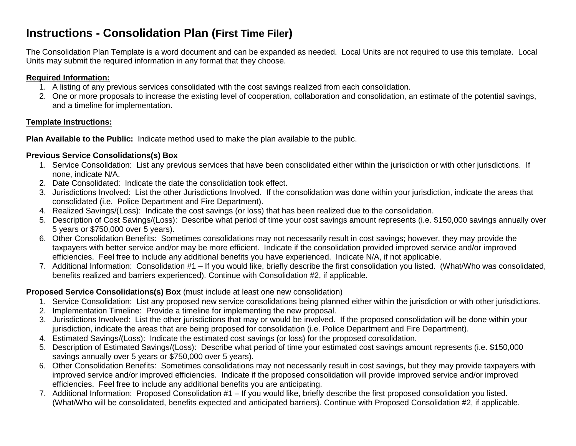## **Instructions - Consolidation Plan (First Time Filer)**

The Consolidation Plan Template is a word document and can be expanded as needed. Local Units are not required to use this template. Local Units may submit the required information in any format that they choose.

#### **Required Information:**

- 1. A listing of any previous services consolidated with the cost savings realized from each consolidation.
- 2. One or more proposals to increase the existing level of cooperation, collaboration and consolidation, an estimate of the potential savings, and a timeline for implementation.

### **Template Instructions:**

**Plan Available to the Public:** Indicate method used to make the plan available to the public.

### **Previous Service Consolidations(s) Box**

- 1. Service Consolidation: List any previous services that have been consolidated either within the jurisdiction or with other jurisdictions. If none, indicate N/A.
- 2. Date Consolidated: Indicate the date the consolidation took effect.
- 3. Jurisdictions Involved: List the other Jurisdictions Involved. If the consolidation was done within your jurisdiction, indicate the areas that consolidated (i.e. Police Department and Fire Department).
- 4. Realized Savings/(Loss): Indicate the cost savings (or loss) that has been realized due to the consolidation.
- 5. Description of Cost Savings/(Loss): Describe what period of time your cost savings amount represents (i.e. \$150,000 savings annually over 5 years or \$750,000 over 5 years).
- 6. Other Consolidation Benefits: Sometimes consolidations may not necessarily result in cost savings; however, they may provide the taxpayers with better service and/or may be more efficient. Indicate if the consolidation provided improved service and/or improved efficiencies. Feel free to include any additional benefits you have experienced. Indicate N/A, if not applicable.
- 7. Additional Information: Consolidation #1 If you would like, briefly describe the first consolidation you listed. (What/Who was consolidated, benefits realized and barriers experienced). Continue with Consolidation #2, if applicable.

### **Proposed Service Consolidations(s) Box** (must include at least one new consolidation)

- 1. Service Consolidation: List any proposed new service consolidations being planned either within the jurisdiction or with other jurisdictions.
- 2. Implementation Timeline: Provide a timeline for implementing the new proposal.
- 3. Jurisdictions Involved: List the other jurisdictions that may or would be involved. If the proposed consolidation will be done within your jurisdiction, indicate the areas that are being proposed for consolidation (i.e. Police Department and Fire Department).
- 4. Estimated Savings/(Loss): Indicate the estimated cost savings (or loss) for the proposed consolidation.
- 5. Description of Estimated Savings/(Loss): Describe what period of time your estimated cost savings amount represents (i.e. \$150,000 savings annually over 5 years or \$750,000 over 5 years).
- 6. Other Consolidation Benefits: Sometimes consolidations may not necessarily result in cost savings, but they may provide taxpayers with improved service and/or improved efficiencies. Indicate if the proposed consolidation will provide improved service and/or improved efficiencies. Feel free to include any additional benefits you are anticipating.
- 7. Additional Information: Proposed Consolidation #1 If you would like, briefly describe the first proposed consolidation you listed. (What/Who will be consolidated, benefits expected and anticipated barriers). Continue with Proposed Consolidation #2, if applicable.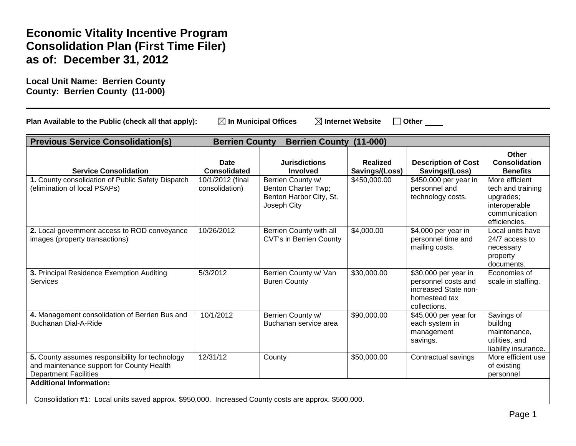# **Economic Vitality Incentive Program Consolidation Plan (First Time Filer) as of: December 31, 2012**

<span id="page-1-1"></span><span id="page-1-0"></span>**Local Unit Name: Berrien County County: Berrien County (11-000)**

| <b>Previous Service Consolidation(s)</b><br><b>Berrien County</b><br><b>Berrien County</b><br>$(11-000)$                     |                                    |                                                                                    |                                   |                                                                                                      |                                                                                                     |
|------------------------------------------------------------------------------------------------------------------------------|------------------------------------|------------------------------------------------------------------------------------|-----------------------------------|------------------------------------------------------------------------------------------------------|-----------------------------------------------------------------------------------------------------|
| <b>Service Consolidation</b>                                                                                                 | <b>Date</b><br><b>Consolidated</b> | <b>Jurisdictions</b><br><b>Involved</b>                                            | <b>Realized</b><br>Savings/(Loss) | <b>Description of Cost</b><br>Savings/(Loss)                                                         | <b>Other</b><br><b>Consolidation</b><br><b>Benefits</b>                                             |
| 1. County consolidation of Public Safety Dispatch<br>(elimination of local PSAPs)                                            | 10/1/2012 (final<br>consolidation) | Berrien County w/<br>Benton Charter Twp;<br>Benton Harbor City, St.<br>Joseph City | \$450,000.00                      | \$450,000 per year in<br>personnel and<br>technology costs.                                          | More efficient<br>tech and training<br>upgrades;<br>interoperable<br>communication<br>efficiencies. |
| 2. Local government access to ROD conveyance<br>images (property transactions)                                               | 10/26/2012                         | Berrien County with all<br><b>CVT's in Berrien County</b>                          | \$4,000.00                        | \$4,000 per year in<br>personnel time and<br>mailing costs.                                          | Local units have<br>24/7 access to<br>necessary<br>property<br>documents.                           |
| 3. Principal Residence Exemption Auditing<br><b>Services</b>                                                                 | 5/3/2012                           | Berrien County w/ Van<br><b>Buren County</b>                                       | \$30,000.00                       | \$30,000 per year in<br>personnel costs and<br>increased State non-<br>homestead tax<br>collections. | Economies of<br>scale in staffing.                                                                  |
| 4. Management consolidation of Berrien Bus and<br><b>Buchanan Dial-A-Ride</b>                                                | 10/1/2012                          | Berrien County w/<br>Buchanan service area                                         | \$90,000.00                       | \$45,000 per year for<br>each system in<br>management<br>savings.                                    | Savings of<br>buildng<br>maintenance,<br>utilities, and<br>liability insurance.                     |
| 5. County assumes responsibility for technology<br>and maintenance support for County Health<br><b>Department Facilities</b> | 12/31/12                           | County                                                                             | \$50,000.00                       | Contractual savings                                                                                  | More efficient use<br>of existing<br>personnel                                                      |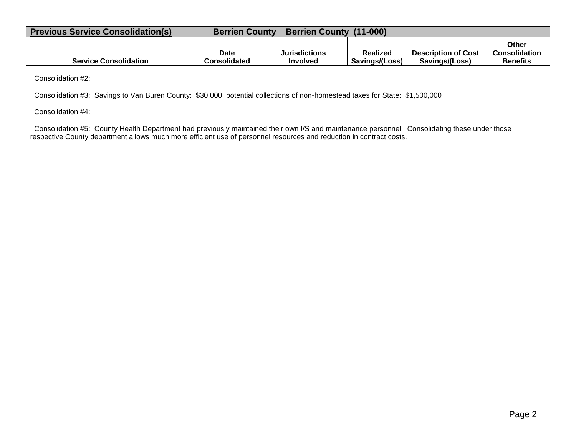| <b>Previous Service Consolidation(s)</b>                                                                                                                                                                                                                             | <b>Berrien County</b><br><b>Berrien County</b><br>$(11-000)$ |                                         |                            |                                              |                                                  |  |
|----------------------------------------------------------------------------------------------------------------------------------------------------------------------------------------------------------------------------------------------------------------------|--------------------------------------------------------------|-----------------------------------------|----------------------------|----------------------------------------------|--------------------------------------------------|--|
| <b>Service Consolidation</b>                                                                                                                                                                                                                                         | Date<br><b>Consolidated</b>                                  | <b>Jurisdictions</b><br><b>Involved</b> | Realized<br>Savings/(Loss) | <b>Description of Cost</b><br>Savings/(Loss) | Other<br><b>Consolidation</b><br><b>Benefits</b> |  |
| Consolidation #2:                                                                                                                                                                                                                                                    |                                                              |                                         |                            |                                              |                                                  |  |
| Consolidation #3: Savings to Van Buren County: \$30,000; potential collections of non-homestead taxes for State: \$1,500,000                                                                                                                                         |                                                              |                                         |                            |                                              |                                                  |  |
| Consolidation #4:                                                                                                                                                                                                                                                    |                                                              |                                         |                            |                                              |                                                  |  |
| Consolidation #5: County Health Department had previously maintained their own I/S and maintenance personnel. Consolidating these under those<br>respective County department allows much more efficient use of personnel resources and reduction in contract costs. |                                                              |                                         |                            |                                              |                                                  |  |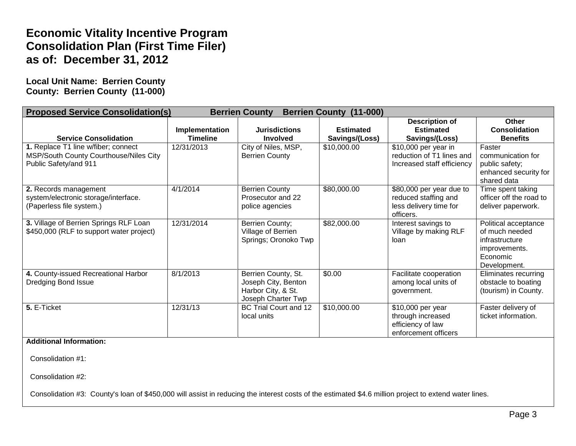# **Economic Vitality Incentive Program Consolidation Plan (First Time Filer) as of: December 31, 2012**

**Local Unit Name: Berrien County County: Berrien County (11-000)**

| <b>Proposed Service Consolidation(s)</b><br><b>Berrien County</b><br><b>Berrien County (11-000)</b>    |                                   |                                                                                        |                                    |                                                                                         |                                                                                                       |
|--------------------------------------------------------------------------------------------------------|-----------------------------------|----------------------------------------------------------------------------------------|------------------------------------|-----------------------------------------------------------------------------------------|-------------------------------------------------------------------------------------------------------|
| <b>Service Consolidation</b>                                                                           | Implementation<br><b>Timeline</b> | <b>Jurisdictions</b><br><b>Involved</b>                                                | <b>Estimated</b><br>Savings/(Loss) | <b>Description of</b><br><b>Estimated</b><br>Savings/(Loss)                             | Other<br><b>Consolidation</b><br><b>Benefits</b>                                                      |
| 1. Replace T1 line w/fiber; connect<br>MSP/South County Courthouse/Niles City<br>Public Safety/and 911 | 12/31/2013                        | City of Niles, MSP,<br><b>Berrien County</b>                                           | \$10,000.00                        | \$10,000 per year in<br>reduction of T1 lines and<br>Increased staff efficiency         | Faster<br>communication for<br>public safety;<br>enhanced security for<br>shared data                 |
| 2. Records management<br>system/electronic storage/interface.<br>(Paperless file system.)              | 4/1/2014                          | <b>Berrien County</b><br>Prosecutor and 22<br>police agencies                          | \$80,000.00                        | \$80,000 per year due to<br>reduced staffing and<br>less delivery time for<br>officers. | Time spent taking<br>officer off the road to<br>deliver paperwork.                                    |
| 3. Village of Berrien Springs RLF Loan<br>\$450,000 (RLF to support water project)                     | 12/31/2014                        | Berrien County;<br>Village of Berrien<br>Springs; Oronoko Twp                          | \$82,000.00                        | Interest savings to<br>Village by making RLF<br>loan                                    | Political acceptance<br>of much needed<br>infrastructure<br>improvements.<br>Economic<br>Development. |
| 4. County-issued Recreational Harbor<br>Dredging Bond Issue                                            | 8/1/2013                          | Berrien County, St.<br>Joseph City, Benton<br>Harbor City, & St.<br>Joseph Charter Twp | \$0.00                             | Facilitate cooperation<br>among local units of<br>government.                           | Eliminates recurring<br>obstacle to boating<br>(tourism) in County.                                   |
| 5. E-Ticket                                                                                            | 12/31/13                          | BC Trial Court and 12<br>local units                                                   | $\overline{$10,000.00}$            | \$10,000 per year<br>through increased<br>efficiency of law<br>enforcement officers     | Faster delivery of<br>ticket information.                                                             |

**Additional Information:** 

Consolidation #1:

Consolidation #2:

Consolidation #3: County's loan of \$450,000 will assist in reducing the interest costs of the estimated \$4.6 million project to extend water lines.